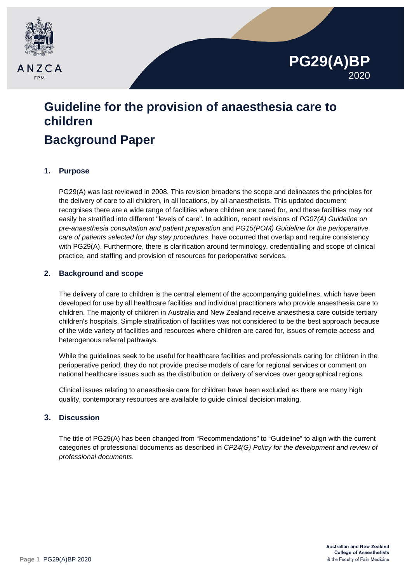

# **Guideline for the provision of anaesthesia care to children**

# **Background Paper**

# **1. Purpose**

PG29(A) was last reviewed in 2008. This revision broadens the scope and delineates the principles for the delivery of care to all children, in all locations, by all anaesthetists. This updated document recognises there are a wide range of facilities where children are cared for, and these facilities may not easily be stratified into different "levels of care". In addition, recent revisions of *PG07(A) Guideline on pre-anaesthesia consultation and patient preparation* and *PG15(POM) Guideline for the perioperative care of patients selected for day stay procedures*, have occurred that overlap and require consistency with PG29(A). Furthermore, there is clarification around terminology, credentialling and scope of clinical practice, and staffing and provision of resources for perioperative services.

# **2. Background and scope**

The delivery of care to children is the central element of the accompanying guidelines, which have been developed for use by all healthcare facilities and individual practitioners who provide anaesthesia care to children. The majority of children in Australia and New Zealand receive anaesthesia care outside tertiary children's hospitals. Simple stratification of facilities was not considered to be the best approach because of the wide variety of facilities and resources where children are cared for, issues of remote access and heterogenous referral pathways.

While the guidelines seek to be useful for healthcare facilities and professionals caring for children in the perioperative period, they do not provide precise models of care for regional services or comment on national healthcare issues such as the distribution or delivery of services over geographical regions.

Clinical issues relating to anaesthesia care for children have been excluded as there are many high quality, contemporary resources are available to guide clinical decision making.

# **3. Discussion**

The title of PG29(A) has been changed from "Recommendations" to "Guideline" to align with the current categories of professional documents as described in *CP24(G) Policy for the development and review of professional documents*.

**PG29(A)BP**

2020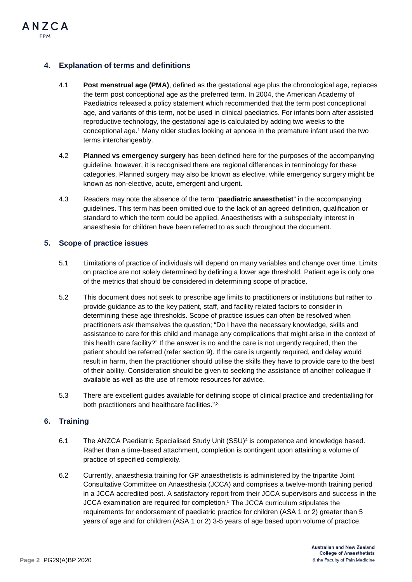

## **4. Explanation of terms and definitions**

- 4.1 **Post menstrual age (PMA)**, defined as the gestational age plus the chronological age, replaces the term post conceptional age as the preferred term. In 2004, the American Academy of Paediatrics released a policy statement which recommended that the term post conceptional age, and variants of this term, not be used in clinical paediatrics. For infants born after assisted reproductive technology, the gestational age is calculated by adding two weeks to the conceptional age.<sup>1</sup> Many older studies looking at apnoea in the premature infant used the two terms interchangeably.
- 4.2 **Planned vs emergency surgery** has been defined here for the purposes of the accompanying guideline, however, it is recognised there are regional differences in terminology for these categories. Planned surgery may also be known as elective, while emergency surgery might be known as non-elective, acute, emergent and urgent.
- 4.3 Readers may note the absence of the term "**paediatric anaesthetist**" in the accompanying guidelines. This term has been omitted due to the lack of an agreed definition, qualification or standard to which the term could be applied. Anaesthetists with a subspecialty interest in anaesthesia for children have been referred to as such throughout the document.

#### **5. Scope of practice issues**

- 5.1 Limitations of practice of individuals will depend on many variables and change over time. Limits on practice are not solely determined by defining a lower age threshold. Patient age is only one of the metrics that should be considered in determining scope of practice.
- 5.2 This document does not seek to prescribe age limits to practitioners or institutions but rather to provide guidance as to the key patient, staff, and facility related factors to consider in determining these age thresholds. Scope of practice issues can often be resolved when practitioners ask themselves the question; "Do I have the necessary knowledge, skills and assistance to care for this child and manage any complications that might arise in the context of this health care facility?" If the answer is no and the care is not urgently required, then the patient should be referred (refer section 9). If the care is urgently required, and delay would result in harm, then the practitioner should utilise the skills they have to provide care to the best of their ability. Consideration should be given to seeking the assistance of another colleague if available as well as the use of remote resources for advice.
- 5.3 There are excellent guides available for defining scope of clinical practice and credentialling for both practitioners and healthcare facilities.2,3

#### **6. Training**

- 6.1 The ANZCA Paediatric Specialised Study Unit (SSU)4 is competence and knowledge based. Rather than a time-based attachment, completion is contingent upon attaining a volume of practice of specified complexity.
- 6.2 Currently, anaesthesia training for GP anaesthetists is administered by the tripartite Joint Consultative Committee on Anaesthesia (JCCA) and comprises a twelve-month training period in a JCCA accredited post. A satisfactory report from their JCCA supervisors and success in the JCCA examination are required for completion.<sup>5</sup> The JCCA curriculum stipulates the requirements for endorsement of paediatric practice for children (ASA 1 or 2) greater than 5 years of age and for children (ASA 1 or 2) 3-5 years of age based upon volume of practice.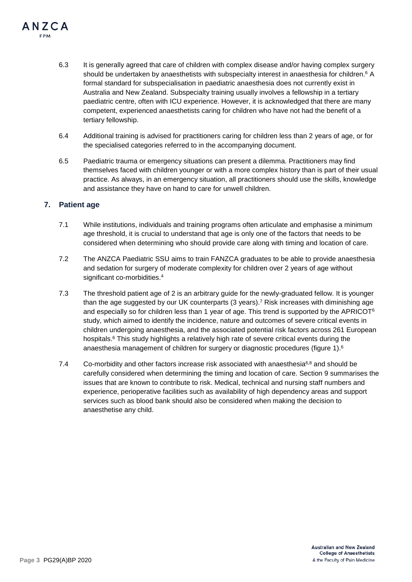- 6.3 It is generally agreed that care of children with complex disease and/or having complex surgery should be undertaken by anaesthetists with subspecialty interest in anaesthesia for children.<sup>6</sup> A formal standard for subspecialisation in paediatric anaesthesia does not currently exist in Australia and New Zealand. Subspecialty training usually involves a fellowship in a tertiary paediatric centre, often with ICU experience. However, it is acknowledged that there are many competent, experienced anaesthetists caring for children who have not had the benefit of a tertiary fellowship.
- 6.4 Additional training is advised for practitioners caring for children less than 2 years of age, or for the specialised categories referred to in the accompanying document.
- 6.5 Paediatric trauma or emergency situations can present a dilemma. Practitioners may find themselves faced with children younger or with a more complex history than is part of their usual practice. As always, in an emergency situation, all practitioners should use the skills, knowledge and assistance they have on hand to care for unwell children.

#### **7. Patient age**

ANZCA FPM

- 7.1 While institutions, individuals and training programs often articulate and emphasise a minimum age threshold, it is crucial to understand that age is only one of the factors that needs to be considered when determining who should provide care along with timing and location of care.
- 7.2 The ANZCA Paediatric SSU aims to train FANZCA graduates to be able to provide anaesthesia and sedation for surgery of moderate complexity for children over 2 years of age without significant co-morbidities.<sup>4</sup>
- 7.3 The threshold patient age of 2 is an arbitrary guide for the newly-graduated fellow. It is younger than the age suggested by our UK counterparts (3 years). <sup>7</sup> Risk increases with diminishing age and especially so for children less than 1 year of age. This trend is supported by the APRICOT $6$ study, which aimed to identify the incidence, nature and outcomes of severe critical events in children undergoing anaesthesia, and the associated potential risk factors across 261 European hospitals.<sup>6</sup> This study highlights a relatively high rate of severe critical events during the anaesthesia management of children for surgery or diagnostic procedures (figure 1).<sup>6</sup>
- 7.4 Co-morbidity and other factors increase risk associated with anaesthesia $6.8$  and should be carefully considered when determining the timing and location of care. Section 9 summarises the issues that are known to contribute to risk. Medical, technical and nursing staff numbers and experience, perioperative facilities such as availability of high dependency areas and support services such as blood bank should also be considered when making the decision to anaesthetise any child.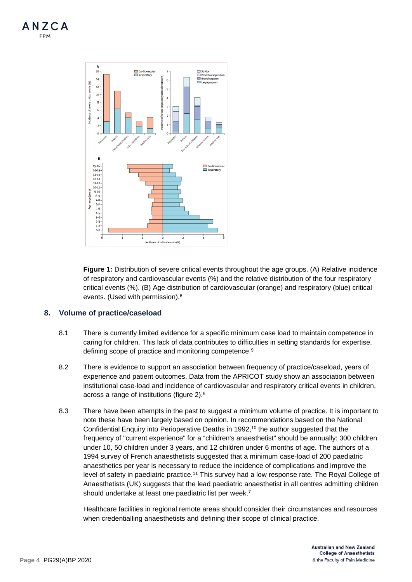



**Figure 1:** Distribution of severe critical events throughout the age groups. (A) Relative incidence of respiratory and cardiovascular events (%) and the relative distribution of the four respiratory critical events (%). (B) Age distribution of cardiovascular (orange) and respiratory (blue) critical events. (Used with permission).6

#### **8. Volume of practice/caseload**

- 8.1 There is currently limited evidence for a specific minimum case load to maintain competence in caring for children. This lack of data contributes to difficulties in setting standards for expertise, defining scope of practice and monitoring competence.<sup>9</sup>
- 8.2 There is evidence to support an association between frequency of practice/caseload, years of experience and patient outcomes. Data from the APRICOT study show an association between institutional case-load and incidence of cardiovascular and respiratory critical events in children, across a range of institutions (figure 2).6
- 8.3 There have been attempts in the past to suggest a minimum volume of practice. It is important to note these have been largely based on opinion. In recommendations based on the National Confidential Enquiry into Perioperative Deaths in 1992,<sup>10</sup> the author suggested that the frequency of "current experience" for a "children's anaesthetist" should be annually: 300 children under 10, 50 children under 3 years, and 12 children under 6 months of age. The authors of a 1994 survey of French anaesthetists suggested that a minimum case-load of 200 paediatric anaesthetics per year is necessary to reduce the incidence of complications and improve the level of safety in paediatric practice.<sup>11</sup> This survey had a low response rate. The Royal College of Anaesthetists (UK) suggests that the lead paediatric anaesthetist in all centres admitting children should undertake at least one paediatric list per week.7

Healthcare facilities in regional remote areas should consider their circumstances and resources when credentialling anaesthetists and defining their scope of clinical practice.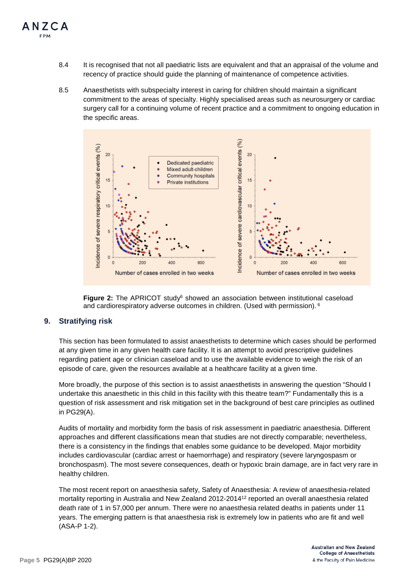- 8.4 It is recognised that not all paediatric lists are equivalent and that an appraisal of the volume and recency of practice should guide the planning of maintenance of competence activities.
- 8.5 Anaesthetists with subspecialty interest in caring for children should maintain a significant commitment to the areas of specialty. Highly specialised areas such as neurosurgery or cardiac surgery call for a continuing volume of recent practice and a commitment to ongoing education in the specific areas.





#### **9. Stratifying risk**

This section has been formulated to assist anaesthetists to determine which cases should be performed at any given time in any given health care facility. It is an attempt to avoid prescriptive guidelines regarding patient age or clinician caseload and to use the available evidence to weigh the risk of an episode of care, given the resources available at a healthcare facility at a given time.

More broadly, the purpose of this section is to assist anaesthetists in answering the question "Should I undertake this anaesthetic in this child in this facility with this theatre team?" Fundamentally this is a question of risk assessment and risk mitigation set in the background of best care principles as outlined in PG29(A).

Audits of mortality and morbidity form the basis of risk assessment in paediatric anaesthesia. Different approaches and different classifications mean that studies are not directly comparable; nevertheless, there is a consistency in the findings that enables some guidance to be developed. Major morbidity includes cardiovascular (cardiac arrest or haemorrhage) and respiratory (severe laryngospasm or bronchospasm). The most severe consequences, death or hypoxic brain damage, are in fact very rare in healthy children.

The most recent report on anaesthesia safety, Safety of Anaesthesia: A review of anaesthesia-related mortality reporting in Australia and New Zealand 2012-201412 reported an overall anaesthesia related death rate of 1 in 57,000 per annum. There were no anaesthesia related deaths in patients under 11 years. The emerging pattern is that anaesthesia risk is extremely low in patients who are fit and well (ASA-P 1-2).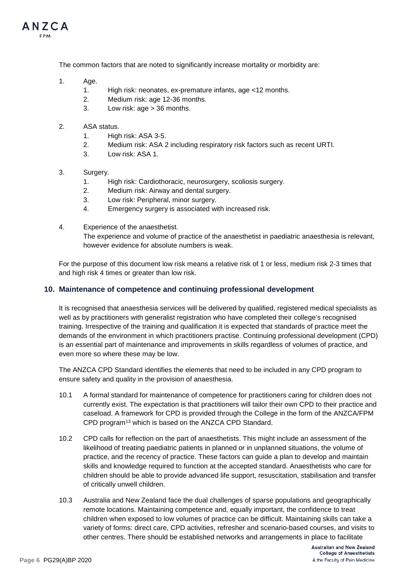

The common factors that are noted to significantly increase mortality or morbidity are:

- 1. Age.
	- 1. High risk: neonates, ex-premature infants, age <12 months.
	- 2. Medium risk: age 12-36 months.
	- 3. Low risk: age > 36 months.
- 2. ASA status.
	- 1. High risk: ASA 3-5.
	- 2. Medium risk: ASA 2 including respiratory risk factors such as recent URTI.
	- 3. Low risk: ASA 1.
- 3. Surgery.
	- 1. High risk: Cardiothoracic, neurosurgery, scoliosis surgery.
	- 2. Medium risk: Airway and dental surgery.
	- 3. Low risk: Peripheral, minor surgery.
	- 4. Emergency surgery is associated with increased risk.
- 4. Experience of the anaesthetist. The experience and volume of practice of the anaesthetist in paediatric anaesthesia is relevant, however evidence for absolute numbers is weak.

For the purpose of this document low risk means a relative risk of 1 or less, medium risk 2-3 times that and high risk 4 times or greater than low risk.

#### **10. Maintenance of competence and continuing professional development**

It is recognised that anaesthesia services will be delivered by qualified, registered medical specialists as well as by practitioners with generalist registration who have completed their college's recognised training. Irrespective of the training and qualification it is expected that standards of practice meet the demands of the environment in which practitioners practise. Continuing professional development (CPD) is an essential part of maintenance and improvements in skills regardless of volumes of practice, and even more so where these may be low.

The ANZCA CPD Standard identifies the elements that need to be included in any CPD program to ensure safety and quality in the provision of anaesthesia.

- 10.1 A formal standard for maintenance of competence for practitioners caring for children does not currently exist. The expectation is that practitioners will tailor their own CPD to their practice and caseload. A framework for CPD is provided through the College in the form of the ANZCA/FPM CPD program13 which is based on the ANZCA CPD Standard.
- 10.2 CPD calls for reflection on the part of anaesthetists. This might include an assessment of the likelihood of treating paediatric patients in planned or in unplanned situations, the volume of practice, and the recency of practice. These factors can guide a plan to develop and maintain skills and knowledge required to function at the accepted standard. Anaesthetists who care for children should be able to provide advanced life support, resuscitation, stabilisation and transfer of critically unwell children.
- 10.3 Australia and New Zealand face the dual challenges of sparse populations and geographically remote locations. Maintaining competence and, equally important, the confidence to treat children when exposed to low volumes of practice can be difficult. Maintaining skills can take a variety of forms: direct care, CPD activities, refresher and scenario-based courses, and visits to other centres. There should be established networks and arrangements in place to facilitate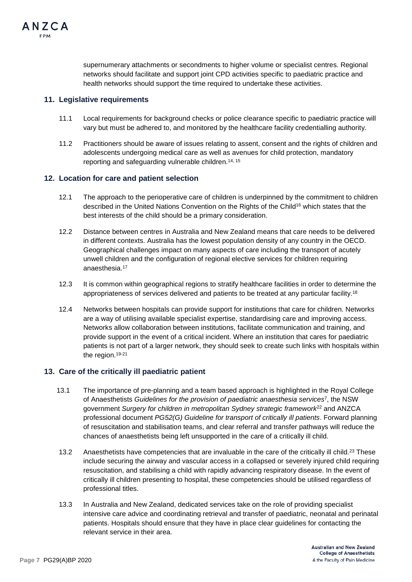

supernumerary attachments or secondments to higher volume or specialist centres. Regional networks should facilitate and support joint CPD activities specific to paediatric practice and health networks should support the time required to undertake these activities.

#### **11. Legislative requirements**

- 11.1 Local requirements for background checks or police clearance specific to paediatric practice will vary but must be adhered to, and monitored by the healthcare facility credentialling authority.
- 11.2 Practitioners should be aware of issues relating to assent, consent and the rights of children and adolescents undergoing medical care as well as avenues for child protection, mandatory reporting and safeguarding vulnerable children.14, 15

#### **12. Location for care and patient selection**

- 12.1 The approach to the perioperative care of children is underpinned by the commitment to children described in the United Nations Convention on the Rights of the Child<sup>16</sup> which states that the best interests of the child should be a primary consideration.
- 12.2 Distance between centres in Australia and New Zealand means that care needs to be delivered in different contexts. Australia has the lowest population density of any country in the OECD. Geographical challenges impact on many aspects of care including the transport of acutely unwell children and the configuration of regional elective services for children requiring anaesthesia.<sup>17</sup>
- 12.3 It is common within geographical regions to stratify healthcare facilities in order to determine the appropriateness of services delivered and patients to be treated at any particular facility.18
- 12.4 Networks between hospitals can provide support for institutions that care for children. Networks are a way of utilising available specialist expertise, standardising care and improving access. Networks allow collaboration between institutions, facilitate communication and training, and provide support in the event of a critical incident. Where an institution that cares for paediatric patients is not part of a larger network, they should seek to create such links with hospitals within the region.<sup>19-21</sup>

#### **13. Care of the critically ill paediatric patient**

- 13.1 The importance of pre-planning and a team based approach is highlighted in the Royal College of Anaesthetists *Guidelines for the provision of paediatric anaesthesia services*7, the NSW government *Surgery for children in metropolitan Sydney strategic framework*<sup>22</sup> and ANZCA professional document *PG52(G) Guideline for transport of critically ill patients*. Forward planning of resuscitation and stabilisation teams, and clear referral and transfer pathways will reduce the chances of anaesthetists being left unsupported in the care of a critically ill child.
- 13.2 Anaesthetists have competencies that are invaluable in the care of the critically ill child.<sup>23</sup> These include securing the airway and vascular access in a collapsed or severely injured child requiring resuscitation, and stabilising a child with rapidly advancing respiratory disease. In the event of critically ill children presenting to hospital, these competencies should be utilised regardless of professional titles.
- 13.3 In Australia and New Zealand, dedicated services take on the role of providing specialist intensive care advice and coordinating retrieval and transfer of paediatric, neonatal and perinatal patients. Hospitals should ensure that they have in place clear guidelines for contacting the relevant service in their area.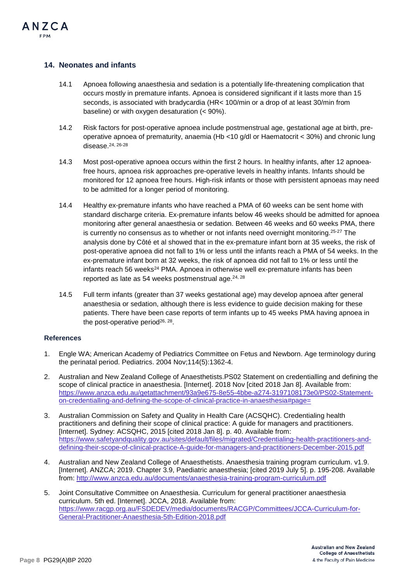## **14. Neonates and infants**

ANZCA FPM

- 14.1 Apnoea following anaesthesia and sedation is a potentially life-threatening complication that occurs mostly in premature infants. Apnoea is considered significant if it lasts more than 15 seconds, is associated with bradycardia (HR< 100/min or a drop of at least 30/min from baseline) or with oxygen desaturation (< 90%).
- 14.2 Risk factors for post-operative apnoea include postmenstrual age, gestational age at birth, preoperative apnoea of prematurity, anaemia (Hb <10 g/dl or Haematocrit < 30%) and chronic lung disease.24, 26-28
- 14.3 Most post-operative apnoea occurs within the first 2 hours. In healthy infants, after 12 apnoeafree hours, apnoea risk approaches pre-operative levels in healthy infants. Infants should be monitored for 12 apnoea free hours. High-risk infants or those with persistent apnoeas may need to be admitted for a longer period of monitoring.
- 14.4 Healthy ex-premature infants who have reached a PMA of 60 weeks can be sent home with standard discharge criteria. Ex-premature infants below 46 weeks should be admitted for apnoea monitoring after general anaesthesia or sedation. Between 46 weeks and 60 weeks PMA, there is currently no consensus as to whether or not infants need overnight monitoring.25-27 The analysis done by Côté et al showed that in the ex-premature infant born at 35 weeks, the risk of post-operative apnoea did not fall to 1% or less until the infants reach a PMA of 54 weeks. In the ex-premature infant born at 32 weeks, the risk of apnoea did not fall to 1% or less until the infants reach 56 weeks $^{24}$  PMA. Apnoea in otherwise well ex-premature infants has been reported as late as 54 weeks postmenstrual age. $24, 28$
- 14.5 Full term infants (greater than 37 weeks gestational age) may develop apnoea after general anaesthesia or sedation, although there is less evidence to guide decision making for these patients. There have been case reports of term infants up to 45 weeks PMA having apnoea in the post-operative period $26, 28$ .

#### **References**

- 1. Engle WA; American Academy of Pediatrics Committee on Fetus and Newborn. Age terminology during the perinatal period. Pediatrics. 2004 Nov;114(5):1362-4.
- 2. Australian and New Zealand College of Anaesthetists.PS02 Statement on credentialling and defining the scope of clinical practice in anaesthesia. [Internet]. 2018 Nov [cited 2018 Jan 8]. Available from: [https://www.anzca.edu.au/getattachment/93a9e675-8e55-4bbe-a274-3197108173e0/PS02-Statement](https://www.anzca.edu.au/getattachment/93a9e675-8e55-4bbe-a274-3197108173e0/PS02-Statement-on-credentialling-and-defining-the-scope-of-clinical-practice-in-anaesthesia#page=)[on-credentialling-and-defining-the-scope-of-clinical-practice-in-anaesthesia#page=](https://www.anzca.edu.au/getattachment/93a9e675-8e55-4bbe-a274-3197108173e0/PS02-Statement-on-credentialling-and-defining-the-scope-of-clinical-practice-in-anaesthesia#page=)
- 3. Australian Commission on Safety and Quality in Health Care (ACSQHC). Credentialing health practitioners and defining their scope of clinical practice: A guide for managers and practitioners. [Internet]. Sydney: ACSQHC, 2015 [cited 2018 Jan 8]. p. 40. Available from: [https://www.safetyandquality.gov.au/sites/default/files/migrated/Credentialing-health-practitioners-and](https://www.safetyandquality.gov.au/sites/default/files/migrated/Credentialing-health-practitioners-and-defining-their-scope-of-clinical-practice-A-guide-for-managers-and-practitioners-December-2015.pdf)[defining-their-scope-of-clinical-practice-A-guide-for-managers-and-practitioners-December-2015.pdf](https://www.safetyandquality.gov.au/sites/default/files/migrated/Credentialing-health-practitioners-and-defining-their-scope-of-clinical-practice-A-guide-for-managers-and-practitioners-December-2015.pdf)
- 4. Australian and New Zealand College of Anaesthetists. Anaesthesia training program curriculum. v1.9. [Internet]. ANZCA; 2019. Chapter 3.9, Paediatric anaesthesia; [cited 2019 July 5]. p. 195-208. Available from[: http://www.anzca.edu.au/documents/anaesthesia-training-program-curriculum.pdf](http://www.anzca.edu.au/documents/anaesthesia-training-program-curriculum.pdf)
- 5. Joint Consultative Committee on Anaesthesia. Curriculum for general practitioner anaesthesia curriculum. 5th ed. [Internet]. JCCA, 2018. Available from: [https://www.racgp.org.au/FSDEDEV/media/documents/RACGP/Committees/JCCA-Curriculum-for-](https://www.racgp.org.au/FSDEDEV/media/documents/RACGP/Committees/JCCA-Curriculum-for-General-Practitioner-Anaesthesia-5th-Edition-2018.pdf)[General-Practitioner-Anaesthesia-5th-Edition-2018.pdf](https://www.racgp.org.au/FSDEDEV/media/documents/RACGP/Committees/JCCA-Curriculum-for-General-Practitioner-Anaesthesia-5th-Edition-2018.pdf)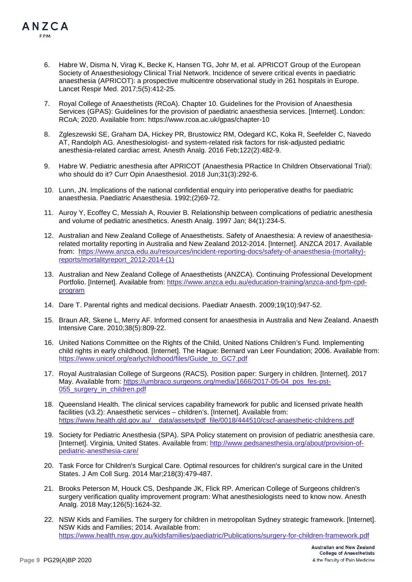- 6. Habre W, Disma N, Virag K, Becke K, Hansen TG, Johr M, et al. APRICOT Group of the European Society of Anaesthesiology Clinical Trial Network. Incidence of severe critical events in paediatric anaesthesia (APRICOT): a prospective multicentre observational study in 261 hospitals in Europe. Lancet Respir Med. 2017;5(5):412-25.
- 7. Royal College of Anaesthetists (RCoA). Chapter 10. Guidelines for the Provision of Anaesthesia Services (GPAS): Guidelines for the provision of paediatric anaesthesia services. [Internet]. London: RCoA; 2020. Available from: https://www.rcoa.ac.uk/gpas/chapter-10
- 8. Zgleszewski SE, Graham DA, Hickey PR, Brustowicz RM, Odegard KC, Koka R, Seefelder C, Navedo AT, Randolph AG. Anesthesiologist- and system-related risk factors for risk-adjusted pediatric anesthesia-related cardiac arrest. Anesth Analg. 2016 Feb;122(2):482-9.
- 9. Habre W. Pediatric anesthesia after APRICOT (Anaesthesia PRactice In Children Observational Trial): who should do it? Curr Opin Anaesthesiol. 2018 Jun;31(3):292-6.
- 10. Lunn, JN. Implications of the national confidential enquiry into perioperative deaths for paediatric anaesthesia. Paediatric Anaesthesia. 1992;(2)69-72.
- 11. Auroy Y, Ecoffey C, Messiah A, Rouvier B. Relationship between complications of pediatric anesthesia and volume of pediatric anesthetics. Anesth Analg. 1997 Jan; 84(1):234-5.
- 12. Australian and New Zealand College of Anaesthetists. Safety of Anaesthesia: A review of anaesthesiarelated mortality reporting in Australia and New Zealand 2012-2014. [Internet]. ANZCA 2017. Available from: [https://www.anzca.edu.au/resources/incident-reporting-docs/safety-of-anaesthesia-\(mortality\)](https://www.anzca.edu.au/resources/incident-reporting-docs/safety-of-anaesthesia-(mortality)-reports/mortalityreport_2012-2014-(1)) [reports/mortalityreport\\_2012-2014-\(1\)](https://www.anzca.edu.au/resources/incident-reporting-docs/safety-of-anaesthesia-(mortality)-reports/mortalityreport_2012-2014-(1))
- 13. Australian and New Zealand College of Anaesthetists (ANZCA). Continuing Professional Development Portfolio. [Internet]. Available from: https://www.anzca.edu.au/education-training/anzca-and-fpm-cpdprogram
- 14. Dare T. Parental rights and medical decisions. Paediatr Anaesth. 2009;19(10):947-52.
- 15. Braun AR, Skene L, Merry AF. Informed consent for anaesthesia in Australia and New Zealand. Anaesth Intensive Care. 2010;38(5):809-22.
- 16. United Nations Committee on the Rights of the Child, United Nations Children's Fund. Implementing child rights in early childhood. [Internet]. The Hague: Bernard van Leer Foundation; 2006. Available from: [https://www.unicef.org/earlychildhood/files/Guide\\_to\\_GC7.pdf](https://www.unicef.org/earlychildhood/files/Guide_to_GC7.pdf)
- 17. Royal Australasian College of Surgeons (RACS). Position paper: Surgery in children. [Internet]. 2017 May. Available from: [https://umbraco.surgeons.org/media/1666/2017-05-04\\_pos\\_fes-pst-](https://umbraco.surgeons.org/media/1666/2017-05-04_pos_fes-pst-055_surgery_in_children.pdf)[055\\_surgery\\_in\\_children.pdf](https://umbraco.surgeons.org/media/1666/2017-05-04_pos_fes-pst-055_surgery_in_children.pdf)
- 18. Queensland Health. The clinical services capability framework for public and licensed private health facilities (v3.2): Anaesthetic services – children's. [Internet]. Available from: [https://www.health.qld.gov.au/\\_\\_data/assets/pdf\\_file/0018/444510/cscf-anaesthetic-childrens.pdf](https://www.health.qld.gov.au/__data/assets/pdf_file/0018/444510/cscf-anaesthetic-childrens.pdf)
- 19. Society for Pediatric Anesthesia (SPA). SPA Policy statement on provision of pediatric anesthesia care. [Internet]. Virginia, United States. Available from: [http://www.pedsanesthesia.org/about/provision-of](http://www.pedsanesthesia.org/about/provision-of-pediatric-anesthesia-care/)[pediatric-anesthesia-care/](http://www.pedsanesthesia.org/about/provision-of-pediatric-anesthesia-care/)
- 20. Task Force for Children's Surgical Care. Optimal resources for children's surgical care in the United States. J Am Coll Surg. 2014 Mar;218(3):479-487.
- 21. Brooks Peterson M, Houck CS, Deshpande JK, Flick RP. American College of Surgeons children's surgery verification quality improvement program: What anesthesiologists need to know now. Anesth Analg. 2018 May;126(5):1624-32.
- 22. NSW Kids and Families. The surgery for children in metropolitan Sydney strategic framework. [Internet]. NSW Kids and Families; 2014. Available from: <https://www.health.nsw.gov.au/kidsfamilies/paediatric/Publications/surgery-for-children-framework.pdf>

ANZCA FPM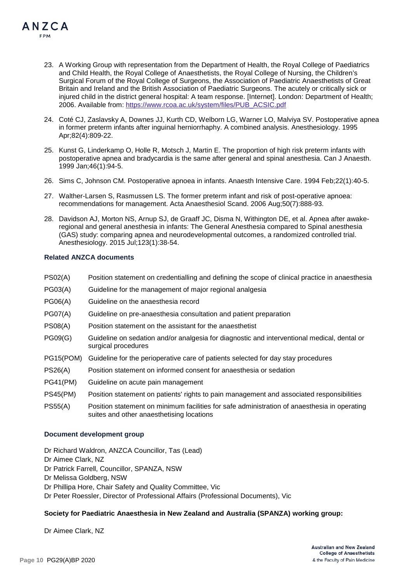- 23. A Working Group with representation from the Department of Health, the Royal College of Paediatrics and Child Health, the Royal College of Anaesthetists, the Royal College of Nursing, the Children's Surgical Forum of the Royal College of Surgeons, the Association of Paediatric Anaesthetists of Great Britain and Ireland and the British Association of Paediatric Surgeons. The acutely or critically sick or injured child in the district general hospital: A team response. [Internet]. London: Department of Health: 2006. Available from: [https://www.rcoa.ac.uk/system/files/PUB\\_ACSIC.pdf](https://www.rcoa.ac.uk/system/files/PUB_ACSIC.pdf)
- 24. Coté CJ, Zaslavsky A, Downes JJ, Kurth CD, Welborn LG, Warner LO, Malviya SV. Postoperative apnea in former preterm infants after inguinal herniorrhaphy. A combined analysis. Anesthesiology. 1995 Apr;82(4):809-22.
- 25. Kunst G, Linderkamp O, Holle R, Motsch J, Martin E. The proportion of high risk preterm infants with postoperative apnea and bradycardia is the same after general and spinal anesthesia. Can J Anaesth. 1999 Jan;46(1):94-5.
- 26. Sims C, Johnson CM. Postoperative apnoea in infants. Anaesth Intensive Care. 1994 Feb;22(1):40-5.
- 27. Walther-Larsen S, Rasmussen LS. The former preterm infant and risk of post-operative apnoea: recommendations for management. Acta Anaesthesiol Scand. 2006 Aug;50(7):888-93.
- 28. Davidson AJ, Morton NS, Arnup SJ, de Graaff JC, Disma N, Withington DE, et al. Apnea after awakeregional and general anesthesia in infants: The General Anesthesia compared to Spinal anesthesia (GAS) study: comparing apnea and neurodevelopmental outcomes, a randomized controlled trial. Anesthesiology. 2015 Jul;123(1):38-54.

#### **Related ANZCA documents**

ANZCA FPM

- PS02(A) Position statement on credentialling and defining the scope of clinical practice in anaesthesia
- PG03(A) Guideline for the management of major regional analgesia
- PG06(A) Guideline on the anaesthesia record
- PG07(A) Guideline on pre-anaesthesia consultation and patient preparation
- PS08(A) Position statement on the assistant for the anaesthetist
- PG09(G) Guideline on sedation and/or analgesia for diagnostic and interventional medical, dental or surgical procedures
- PG15(POM) Guideline for the perioperative care of patients selected for day stay procedures
- PS26(A) Position statement on informed consent for anaesthesia or sedation
- PG41(PM) Guideline on acute pain management
- PS45(PM) Position statement on patients' rights to pain management and associated responsibilities
- PS55(A) Position statement on minimum facilities for safe administration of anaesthesia in operating suites and other anaesthetising locations

#### **Document development group**

Dr Richard Waldron, ANZCA Councillor, Tas (Lead) Dr Aimee Clark, NZ Dr Patrick Farrell, Councillor, SPANZA, NSW Dr Melissa Goldberg, NSW Dr Phillipa Hore, Chair Safety and Quality Committee, Vic Dr Peter Roessler, Director of Professional Affairs (Professional Documents), Vic

#### **Society for Paediatric Anaesthesia in New Zealand and Australia (SPANZA) working group:**

Dr Aimee Clark, NZ